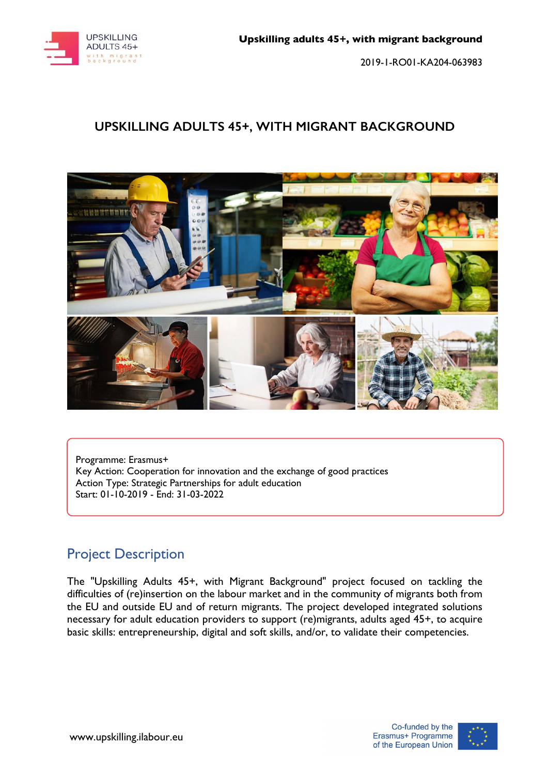

### **UPSKILLING ADULTS 45+, WITH MIGRANT BACKGROUND**



Programme: Erasmus+ Key Action: Cooperation for innovation and the exchange of good practices Action Type: Strategic Partnerships for adult education Start: 01-10-2019 - End: 31-03-2022

# Project Description

The "Upskilling Adults 45+, with Migrant Background" project focused on tackling the difficulties of (re)insertion on the labour market and in the community of migrants both from the EU and outside EU and of return migrants. The project developed integrated solutions necessary for adult education providers to support (re)migrants, adults aged 45+, to acquire basic skills: entrepreneurship, digital and soft skills, and/or, to validate their competencies.